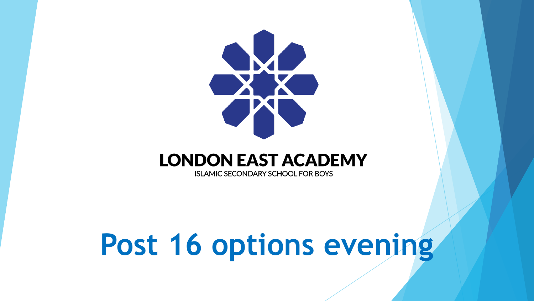

#### **LONDON EAST ACADEMY**

**ISLAMIC SECONDARY SCHOOL FOR BOYS** 

# **Post 16 options evening**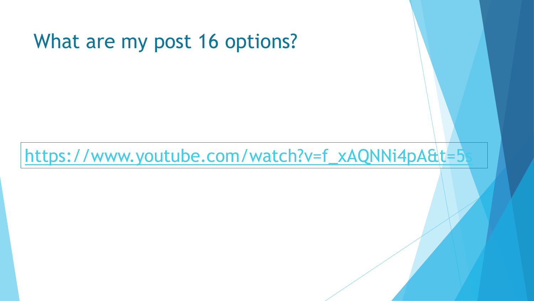#### What are my post 16 options?

https://www.youtube.com/watch?v=f\_xAQNNi4pA&t=5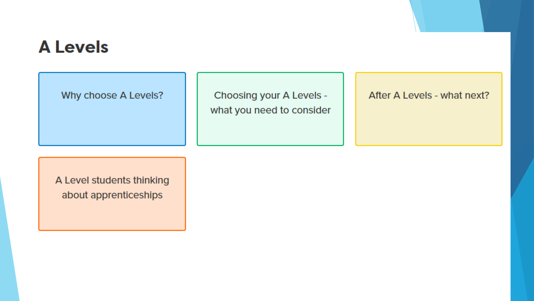#### **A Levels**

Why choose A Levels?

Choosing your A Levels what you need to consider After A Levels - what next?

A Level students thinking about apprenticeships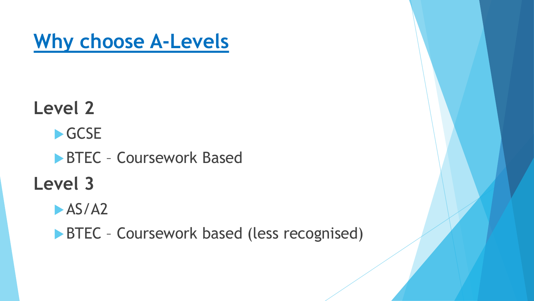**Why choose A-Levels**

**Level 2** GCSE **BTEC - Coursework Based Level 3**  $-$ AS/A2

**BTEC** - Coursework based (less recognised)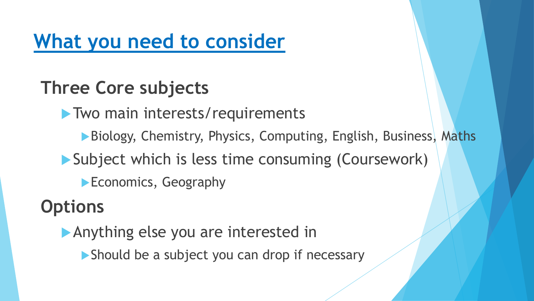# **What you need to consider**

#### **Three Core subjects**

**Two main interests/requirements** 

▶ Biology, Chemistry, Physics, Computing, English, Business, Maths

Subject which is less time consuming (Coursework)

**Economics, Geography** 

#### **Options**

Anything else you are interested in

▶ Should be a subject you can drop if necessary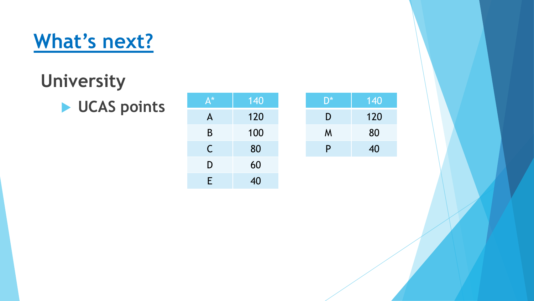# **What's next?**

## **University**

**LETTER BY UCAS points** 

| $A^*$        | 140 |
|--------------|-----|
| $\mathsf{A}$ | 120 |
| B            | 100 |
| $\mathsf C$  | 80  |
| D            | 60  |
| E            | 40  |

| $\mathsf{D}^*$ | 140 |
|----------------|-----|
| D              | 120 |
| M              | 80  |
| P              | 40  |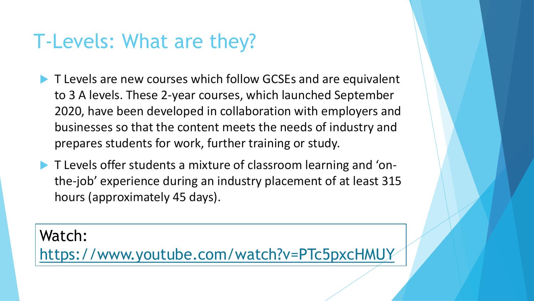### T-Levels: What are they?

- T Levels are new courses which follow GCSEs and are equivalent to 3 A levels. These 2-year courses, which launched September 2020, have been developed in collaboration with employers and businesses so that the content meets the needs of industry and prepares students for work, further training or study.
- T Levels offer students a mixture of classroom learning and 'onthe-job' experience during an industry placement of at least 315 hours (approximately 45 days).

Watch:

<https://www.youtube.com/watch?v=PTc5pxcHMUY>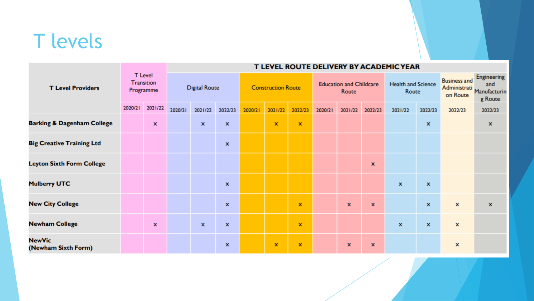# T levels

| <b>T Level Providers</b>              |                                                  |                    | T LEVEL ROUTE DELIVERY BY ACADEMIC YEAR |                    |                           |         |                                         |                |                                    |             |                                                 |                                                      |                    |                    |              |
|---------------------------------------|--------------------------------------------------|--------------------|-----------------------------------------|--------------------|---------------------------|---------|-----------------------------------------|----------------|------------------------------------|-------------|-------------------------------------------------|------------------------------------------------------|--------------------|--------------------|--------------|
|                                       | <b>T</b> Level<br><b>Transition</b><br>Programme |                    | <b>Digital Route</b>                    |                    | <b>Construction Route</b> |         | <b>Education and Childcare</b><br>Route |                | <b>Health and Science</b><br>Route |             | <b>Business and</b><br>Administrati<br>on Route | <b>Engineering</b><br>and<br>Manufacturin<br>g Route |                    |                    |              |
|                                       | 2020/21                                          | 2021/22            | 2020/21                                 | 2021/22            | 2022/23                   | 2020/21 | 2021/22                                 | 2022/23        | 2020/21                            | 2021/22     | 2022/23                                         | 2021/22                                              | 2022/23            | 2022/23            | 2022/23      |
| <b>Barking &amp; Dagenham College</b> |                                                  | $\pmb{\mathsf{x}}$ |                                         | $\mathbf{x}$       | $\mathbf x$               |         | $\mathbf x$                             | $\pmb{\times}$ |                                    |             |                                                 |                                                      | $\pmb{\mathsf{x}}$ |                    | x            |
| <b>Big Creative Training Ltd</b>      |                                                  |                    |                                         |                    | x                         |         |                                         |                |                                    |             |                                                 |                                                      |                    |                    |              |
| <b>Leyton Sixth Form College</b>      |                                                  |                    |                                         |                    |                           |         |                                         |                |                                    |             | $\mathbf x$                                     |                                                      |                    |                    |              |
| <b>Mulberry UTC</b>                   |                                                  |                    |                                         |                    | $\pmb{\mathsf{x}}$        |         |                                         |                |                                    |             |                                                 | $\pmb{\mathsf{x}}$                                   | $\mathbf{x}$       |                    |              |
| <b>New City College</b>               |                                                  |                    |                                         |                    | x                         |         |                                         | x              |                                    | $\mathbf x$ | $\pmb{\mathsf{x}}$                              |                                                      | $\mathbf x$        | $\pmb{\mathsf{x}}$ | $\mathbf{x}$ |
| <b>Newham College</b>                 |                                                  | x                  |                                         | $\pmb{\mathsf{x}}$ | $\pmb{\mathsf{x}}$        |         |                                         | $\mathbf x$    |                                    |             |                                                 | $\pmb{\mathsf{x}}$                                   | $\pmb{\mathsf{x}}$ | x                  |              |
| <b>NewVic</b><br>(Newham Sixth Form)  |                                                  |                    |                                         |                    | x                         |         | $\mathbf x$                             | $\mathbf x$    |                                    | x           | $\mathbf{x}$                                    |                                                      |                    | x                  |              |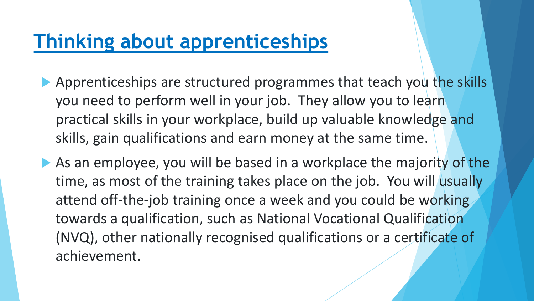#### **Thinking about apprenticeships**

- Apprenticeships are structured programmes that teach you the skills you need to perform well in your job. They allow you to learn practical skills in your workplace, build up valuable knowledge and skills, gain qualifications and earn money at the same time.
- As an employee, you will be based in a workplace the majority of the time, as most of the training takes place on the job. You will usually attend off-the-job training once a week and you could be working towards a qualification, such as National Vocational Qualification (NVQ), other nationally recognised qualifications or a certificate of achievement.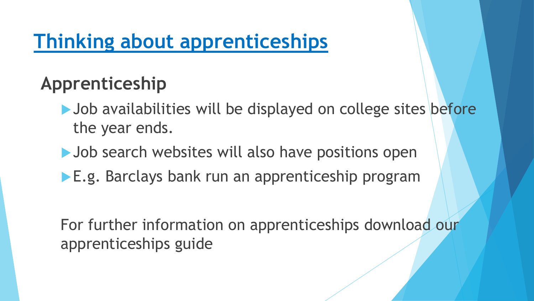# **Thinking about apprenticeships**

#### **Apprenticeship**

- ▶ Job availabilities will be displayed on college sites before the year ends.
- Dob search websites will also have positions open
- **E.g. Barclays bank run an apprenticeship program**

For further information on apprenticeships download our apprenticeships guide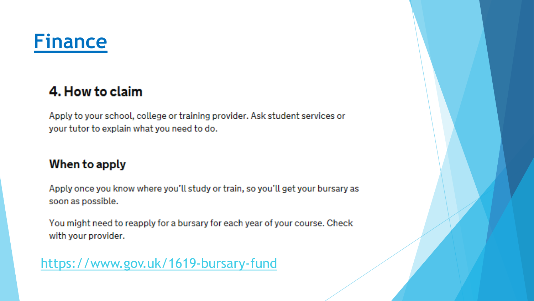

#### 4. How to claim

Apply to your school, college or training provider. Ask student services or your tutor to explain what you need to do.

#### When to apply

Apply once you know where you'll study or train, so you'll get your bursary as soon as possible.

You might need to reapply for a bursary for each year of your course. Check with your provider.

https://www.gov.uk/1619-bursary-fund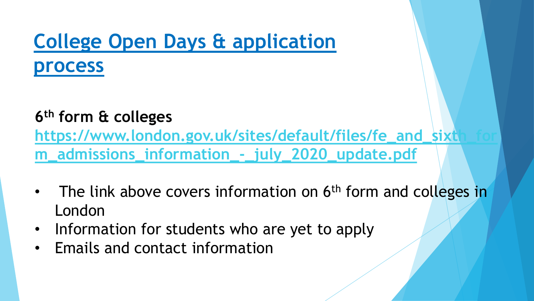#### **College Open Days & application process**

#### **6 th form & colleges**

https://www.london.gov.uk/sites/default/files/fe\_and\_sixtl **m\_admissions\_information\_-\_july\_2020\_update.pdf**

- The link above covers information on 6<sup>th</sup> form and colleges in London
- Information for students who are yet to apply
- Emails and contact information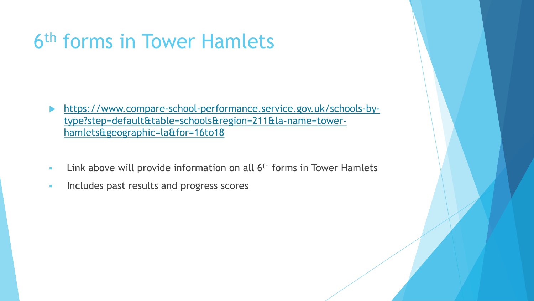# 6 th forms in Tower Hamlets

- [https://www.compare-school-performance.service.gov.uk/schools-by](https://www.compare-school-performance.service.gov.uk/schools-by-type?step=default&table=schools®ion=211&la-name=tower-hamlets&geographic=la&for=16to18)type?step=default&table=schools&region=211&la-name=towerhamlets&geographic=la&for=16to18
- **EXECT** Link above will provide information on all 6<sup>th</sup> forms in Tower Hamlets
- **Includes past results and progress scores**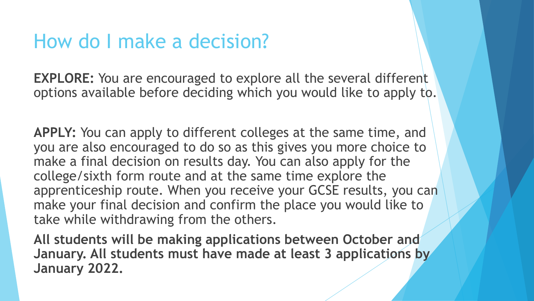#### How do I make a decision?

**EXPLORE:** You are encouraged to explore all the several different options available before deciding which you would like to apply to.

**APPLY:** You can apply to different colleges at the same time, and you are also encouraged to do so as this gives you more choice to make a final decision on results day. You can also apply for the college/sixth form route and at the same time explore the apprenticeship route. When you receive your GCSE results, you can make your final decision and confirm the place you would like to take while withdrawing from the others.

**All students will be making applications between October and January. All students must have made at least 3 applications by January 2022.**